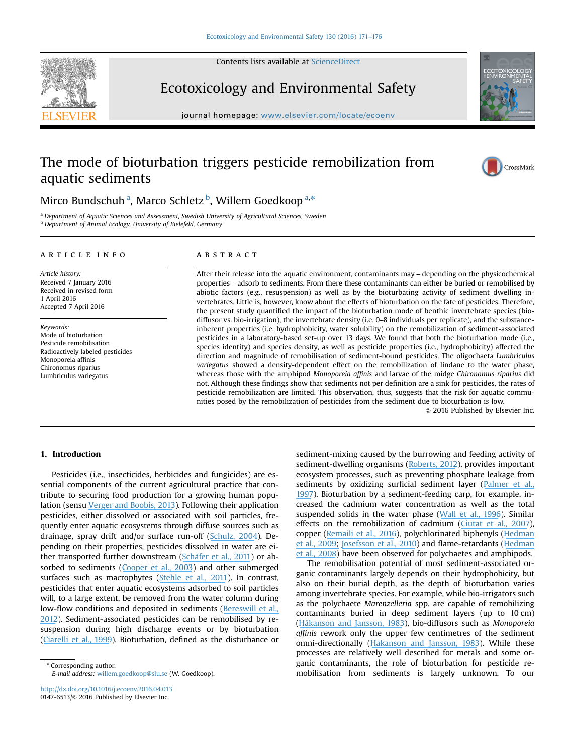Contents lists available at [ScienceDirect](www.sciencedirect.com/science/journal/01476513)



Ecotoxicology and Environmental Safety

journal homepage: <www.elsevier.com/locate/ecoenv>ier.com/locate/ecoenvier.com/locate/ecoenvier.com/locate/ecoenvier.com/locate/ecoenvier.com/locate/ecoenvier.com/locate/ecoenvier.com/locate/ecoenvier.com/locate/ecoenvier.c

# The mode of bioturbation triggers pesticide remobilization from aquatic sediments



CrossMark

## Mirco Bundschuh<sup>a</sup>, Marco Schletz<sup>b</sup>, Willem Goedkoop<sup>a,\*</sup>

<sup>a</sup> Department of Aquatic Sciences and Assessment, Swedish University of Agricultural Sciences, Sweden **b** Department of Animal Ecology, University of Bielefeld, Germany

## article info

Article history: Received 7 January 2016 Received in revised form 1 April 2016 Accepted 7 April 2016

Keywords: Mode of bioturbation Pesticide remobilisation Radioactively labeled pesticides Monoporeia affinis Chironomus riparius Lumbriculus variegatus

## **ABSTRACT**

After their release into the aquatic environment, contaminants may – depending on the physicochemical properties – adsorb to sediments. From there these contaminants can either be buried or remobilised by abiotic factors (e.g., resuspension) as well as by the bioturbating activity of sediment dwelling invertebrates. Little is, however, know about the effects of bioturbation on the fate of pesticides. Therefore, the present study quantified the impact of the bioturbation mode of benthic invertebrate species (biodiffusor vs. bio-irrigation), the invertebrate density (i.e. 0–8 individuals per replicate), and the substanceinherent properties (i.e. hydrophobicity, water solubility) on the remobilization of sediment-associated pesticides in a laboratory-based set-up over 13 days. We found that both the bioturbation mode (i.e., species identity) and species density, as well as pesticide properties (i.e., hydrophobicity) affected the direction and magnitude of remobilisation of sediment-bound pesticides. The oligochaeta Lumbriculus variegatus showed a density-dependent effect on the remobilization of lindane to the water phase, whereas those with the amphipod Monoporeia affinis and larvae of the midge Chironomus riparius did not. Although these findings show that sediments not per definition are a sink for pesticides, the rates of pesticide remobilization are limited. This observation, thus, suggests that the risk for aquatic communities posed by the remobilization of pesticides from the sediment due to bioturbation is low.

 $@$  2016 Published by Elsevier Inc.

## 1. Introduction

Pesticides (i.e., insecticides, herbicides and fungicides) are essential components of the current agricultural practice that contribute to securing food production for a growing human population (sensu [Verger and Boobis, 2013\)](#page-5-0). Following their application pesticides, either dissolved or associated with soil particles, frequently enter aquatic ecosystems through diffuse sources such as drainage, spray drift and/or surface run-off ([Schulz, 2004\)](#page-5-0). Depending on their properties, pesticides dissolved in water are either transported further downstream ([S](#page-5-0)[chäfer](https://www.researchgate.net/publication/49766984_Effects_of_Pesticides_Monitored_with_Three_Sampling_Methods_in_24_Sites_on_Macroinvertebrates_and_Microorganisms?el=1_x_8&enrichId=rgreq-ac3df9c37c51bb0dd08288c2b31b117c-XXX&enrichSource=Y292ZXJQYWdlOzMwMTYyNDE5MztBUzozNTgyODEwODk0Mzc2OTZAMTQ2MjQzMjI3NjA3NA==)[et](https://www.researchgate.net/publication/49766984_Effects_of_Pesticides_Monitored_with_Three_Sampling_Methods_in_24_Sites_on_Macroinvertebrates_and_Microorganisms?el=1_x_8&enrichId=rgreq-ac3df9c37c51bb0dd08288c2b31b117c-XXX&enrichSource=Y292ZXJQYWdlOzMwMTYyNDE5MztBUzozNTgyODEwODk0Mzc2OTZAMTQ2MjQzMjI3NjA3NA==)[al.,](https://www.researchgate.net/publication/49766984_Effects_of_Pesticides_Monitored_with_Three_Sampling_Methods_in_24_Sites_on_Macroinvertebrates_and_Microorganisms?el=1_x_8&enrichId=rgreq-ac3df9c37c51bb0dd08288c2b31b117c-XXX&enrichSource=Y292ZXJQYWdlOzMwMTYyNDE5MztBUzozNTgyODEwODk0Mzc2OTZAMTQ2MjQzMjI3NjA3NA==)[201](https://www.researchgate.net/publication/49766984_Effects_of_Pesticides_Monitored_with_Three_Sampling_Methods_in_24_Sites_on_Macroinvertebrates_and_Microorganisms?el=1_x_8&enrichId=rgreq-ac3df9c37c51bb0dd08288c2b31b117c-XXX&enrichSource=Y292ZXJQYWdlOzMwMTYyNDE5MztBUzozNTgyODEwODk0Mzc2OTZAMTQ2MjQzMjI3NjA3NA==)[1](#page-5-0)) or ab-sorbed to sediments [\(Cooper et al., 2003](#page-4-0)) and other submerged surfaces such as macrophytes ([Stehle et al., 2011\)](#page-5-0). In contrast, pesticides that enter aquatic ecosystems adsorbed to soil particles will, to a large extent, be removed from the water column during low-flow conditions and deposited in sediments ([Bereswill et al.,](#page-4-0) [2012\)](#page-4-0). Sediment-associated pesticides can be remobilised by resuspension during high discharge events or by bioturbation ([Ciarelli](https://www.researchgate.net/publication/229538138_Effects_of_sediment_bioturbation_by_the_estuarine_amphipod_Corophium_volutator_on_fluoranthene_resuspension_and_transfer_into_the_mussel_Mytilus_edulis_L?el=1_x_8&enrichId=rgreq-ac3df9c37c51bb0dd08288c2b31b117c-XXX&enrichSource=Y292ZXJQYWdlOzMwMTYyNDE5MztBUzozNTgyODEwODk0Mzc2OTZAMTQ2MjQzMjI3NjA3NA==)[et](https://www.researchgate.net/publication/229538138_Effects_of_sediment_bioturbation_by_the_estuarine_amphipod_Corophium_volutator_on_fluoranthene_resuspension_and_transfer_into_the_mussel_Mytilus_edulis_L?el=1_x_8&enrichId=rgreq-ac3df9c37c51bb0dd08288c2b31b117c-XXX&enrichSource=Y292ZXJQYWdlOzMwMTYyNDE5MztBUzozNTgyODEwODk0Mzc2OTZAMTQ2MjQzMjI3NjA3NA==)[al.,](https://www.researchgate.net/publication/229538138_Effects_of_sediment_bioturbation_by_the_estuarine_amphipod_Corophium_volutator_on_fluoranthene_resuspension_and_transfer_into_the_mussel_Mytilus_edulis_L?el=1_x_8&enrichId=rgreq-ac3df9c37c51bb0dd08288c2b31b117c-XXX&enrichSource=Y292ZXJQYWdlOzMwMTYyNDE5MztBUzozNTgyODEwODk0Mzc2OTZAMTQ2MjQzMjI3NjA3NA==)[199](https://www.researchgate.net/publication/229538138_Effects_of_sediment_bioturbation_by_the_estuarine_amphipod_Corophium_volutator_on_fluoranthene_resuspension_and_transfer_into_the_mussel_Mytilus_edulis_L?el=1_x_8&enrichId=rgreq-ac3df9c37c51bb0dd08288c2b31b117c-XXX&enrichSource=Y292ZXJQYWdlOzMwMTYyNDE5MztBUzozNTgyODEwODk0Mzc2OTZAMTQ2MjQzMjI3NjA3NA==)[9\)](#page-4-0). Bioturbation, defined as the disturbance or

\* Corresponding author.

E-mail address: [willem.goedkoop@slu.se](mailto:willem.goedkoop@slu.se) (W. Goedkoop).

<http://dx.doi.org/10.1016/j.ecoenv.2016.04.013> 0147-6513/© 2016 Published by Elsevier Inc.

sediment-mixing caused by the burrowing and feeding activity of sediment-dwelling organisms [\(Roberts, 2012\)](#page-5-0), provides important ecosystem processes, such as preventing phosphate leakage from sediments by oxidizing surficial sediment layer [\(Palmer et al.,](#page-5-0) [1997\)](#page-5-0). Bioturbation by a sediment-feeding carp, for example, increased the cadmium water concentration as well as the total suspended solids in the water phase ([Wall et al., 1996](#page-5-0)). Similar effects on the remobilization of cadmium [\(C](#page-4-0)[iutat](https://www.researchgate.net/publication/6879565_Remobilization_and_bioavailability_of_cadmium_from_historically_contaminated_sediments_Influence_of_bioturbation_by_tubificids?el=1_x_8&enrichId=rgreq-ac3df9c37c51bb0dd08288c2b31b117c-XXX&enrichSource=Y292ZXJQYWdlOzMwMTYyNDE5MztBUzozNTgyODEwODk0Mzc2OTZAMTQ2MjQzMjI3NjA3NA==)[et](https://www.researchgate.net/publication/6879565_Remobilization_and_bioavailability_of_cadmium_from_historically_contaminated_sediments_Influence_of_bioturbation_by_tubificids?el=1_x_8&enrichId=rgreq-ac3df9c37c51bb0dd08288c2b31b117c-XXX&enrichSource=Y292ZXJQYWdlOzMwMTYyNDE5MztBUzozNTgyODEwODk0Mzc2OTZAMTQ2MjQzMjI3NjA3NA==) [al.,](https://www.researchgate.net/publication/6879565_Remobilization_and_bioavailability_of_cadmium_from_historically_contaminated_sediments_Influence_of_bioturbation_by_tubificids?el=1_x_8&enrichId=rgreq-ac3df9c37c51bb0dd08288c2b31b117c-XXX&enrichSource=Y292ZXJQYWdlOzMwMTYyNDE5MztBUzozNTgyODEwODk0Mzc2OTZAMTQ2MjQzMjI3NjA3NA==) [200](https://www.researchgate.net/publication/6879565_Remobilization_and_bioavailability_of_cadmium_from_historically_contaminated_sediments_Influence_of_bioturbation_by_tubificids?el=1_x_8&enrichId=rgreq-ac3df9c37c51bb0dd08288c2b31b117c-XXX&enrichSource=Y292ZXJQYWdlOzMwMTYyNDE5MztBUzozNTgyODEwODk0Mzc2OTZAMTQ2MjQzMjI3NjA3NA==)[7\)](#page-4-0), copper ([Remaili et al., 2016](#page-5-0)), polychlorinated biphenyls [\(Hedman](#page-5-0) [et](https://www.researchgate.net/publication/26270059_Remobilization_of_Polychlorinated_Biphenyl_from_Baltic_Sea_Sediment_Comparing_the_Roles_of_Bioturbation_and_Physical_Resuspension?el=1_x_8&enrichId=rgreq-ac3df9c37c51bb0dd08288c2b31b117c-XXX&enrichSource=Y292ZXJQYWdlOzMwMTYyNDE5MztBUzozNTgyODEwODk0Mzc2OTZAMTQ2MjQzMjI3NjA3NA==)[al.,](https://www.researchgate.net/publication/26270059_Remobilization_of_Polychlorinated_Biphenyl_from_Baltic_Sea_Sediment_Comparing_the_Roles_of_Bioturbation_and_Physical_Resuspension?el=1_x_8&enrichId=rgreq-ac3df9c37c51bb0dd08288c2b31b117c-XXX&enrichSource=Y292ZXJQYWdlOzMwMTYyNDE5MztBUzozNTgyODEwODk0Mzc2OTZAMTQ2MjQzMjI3NjA3NA==)[2009;](https://www.researchgate.net/publication/26270059_Remobilization_of_Polychlorinated_Biphenyl_from_Baltic_Sea_Sediment_Comparing_the_Roles_of_Bioturbation_and_Physical_Resuspension?el=1_x_8&enrichId=rgreq-ac3df9c37c51bb0dd08288c2b31b117c-XXX&enrichSource=Y292ZXJQYWdlOzMwMTYyNDE5MztBUzozNTgyODEwODk0Mzc2OTZAMTQ2MjQzMjI3NjA3NA==) [Josefsson](https://www.researchgate.net/publication/46217758_Bioturbation-Driven_Release_of_Buried_PCBs_and_PBDEs_from_Different_Depths_in_Contaminated_Sediments?el=1_x_8&enrichId=rgreq-ac3df9c37c51bb0dd08288c2b31b117c-XXX&enrichSource=Y292ZXJQYWdlOzMwMTYyNDE5MztBUzozNTgyODEwODk0Mzc2OTZAMTQ2MjQzMjI3NjA3NA==)[et](https://www.researchgate.net/publication/46217758_Bioturbation-Driven_Release_of_Buried_PCBs_and_PBDEs_from_Different_Depths_in_Contaminated_Sediments?el=1_x_8&enrichId=rgreq-ac3df9c37c51bb0dd08288c2b31b117c-XXX&enrichSource=Y292ZXJQYWdlOzMwMTYyNDE5MztBUzozNTgyODEwODk0Mzc2OTZAMTQ2MjQzMjI3NjA3NA==)[al.,](https://www.researchgate.net/publication/46217758_Bioturbation-Driven_Release_of_Buried_PCBs_and_PBDEs_from_Different_Depths_in_Contaminated_Sediments?el=1_x_8&enrichId=rgreq-ac3df9c37c51bb0dd08288c2b31b117c-XXX&enrichSource=Y292ZXJQYWdlOzMwMTYyNDE5MztBUzozNTgyODEwODk0Mzc2OTZAMTQ2MjQzMjI3NjA3NA==)[201](https://www.researchgate.net/publication/46217758_Bioturbation-Driven_Release_of_Buried_PCBs_and_PBDEs_from_Different_Depths_in_Contaminated_Sediments?el=1_x_8&enrichId=rgreq-ac3df9c37c51bb0dd08288c2b31b117c-XXX&enrichSource=Y292ZXJQYWdlOzMwMTYyNDE5MztBUzozNTgyODEwODk0Mzc2OTZAMTQ2MjQzMjI3NjA3NA==)[0](#page-5-0)) and flame-retardants [\(H](#page-5-0)[edman](https://www.researchgate.net/publication/234072580_Fate_of_contaminants_in_Baltic_Sea_sediments_Role_of_bioturbation_and_settling_organic_matter?el=1_x_8&enrichId=rgreq-ac3df9c37c51bb0dd08288c2b31b117c-XXX&enrichSource=Y292ZXJQYWdlOzMwMTYyNDE5MztBUzozNTgyODEwODk0Mzc2OTZAMTQ2MjQzMjI3NjA3NA==) [et al., 2008](#page-5-0)) have been observed for polychaetes and amphipods.

The remobilisation potential of most sediment-associated organic contaminants largely depends on their hydrophobicity, but also on their burial depth, as the depth of bioturbation varies among invertebrate species. For example, while bio-irrigators such as the polychaete Marenzelleria spp. are capable of remobilizing contaminants buried in deep sediment layers (up to 10 cm) ([Håkanson and Jansson, 1983\)](#page-5-0), bio-diffusors such as Monoporeia affinis rework only the upper few centimetres of the sediment omni-directionally ([Håkanson and Jansson, 1983\)](#page-5-0). While these processes are relatively well described for metals and some organic contaminants, the role of bioturbation for pesticide remobilisation from sediments is largely unknown. To our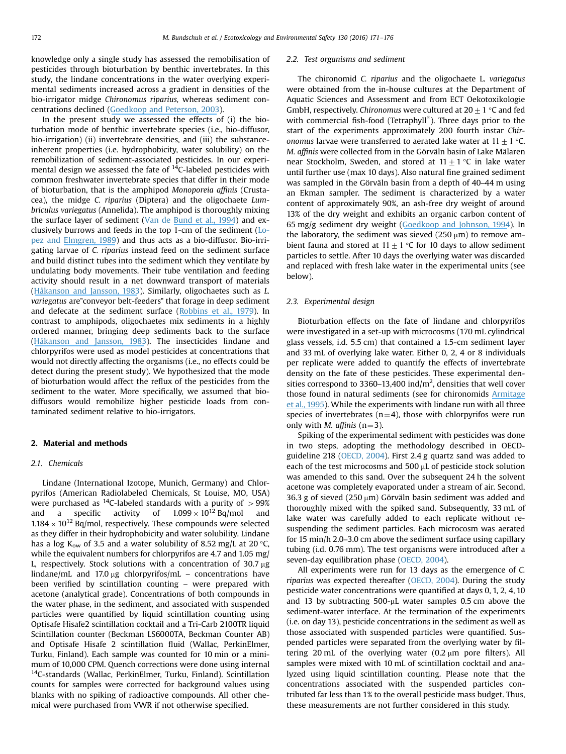knowledge only a single study has assessed the remobilisation of pesticides through bioturbation by benthic invertebrates. In this study, the lindane concentrations in the water overlying experimental sediments increased across a gradient in densities of the bio-irrigator midge Chironomus riparius, whereas sediment concentrations declined [\(Goedkoop and Peterson, 2003](#page-4-0)).

In the present study we assessed the effects of (i) the bioturbation mode of benthic invertebrate species (i.e., bio-diffusor, bio-irrigation) (ii) invertebrate densities, and (iii) the substanceinherent properties (i.e. hydrophobicity, water solubility) on the remobilization of sediment-associated pesticides. In our experimental design we assessed the fate of  $^{14}$ C-labeled pesticides with common freshwater invertebrate species that differ in their mode of bioturbation, that is the amphipod Monoporeia affinis (Crustacea), the midge C. riparius (Diptera) and the oligochaete Lumbriculus variegatus (Annelida). The amphipod is thoroughly mixing the surface layer of sediment [\(Van de Bund et al., 1994\)](#page-5-0) and exclusively burrows and feeds in the top 1-cm of the sediment ([Lo](#page-5-0)[pez and Elmgren, 1989](#page-5-0)) and thus acts as a bio-diffusor. Bio-irrigating larvae of C. riparius instead feed on the sediment surface and build distinct tubes into the sediment which they ventilate by undulating body movements. Their tube ventilation and feeding activity should result in a net downward transport of materials ([Håkanson and Jansson, 1983](#page-5-0)). Similarly, oligochaetes such as L. variegatus are"conveyor belt-feeders" that forage in deep sediment and defecate at the sediment surface ([R](#page-5-0)[obbins](https://www.researchgate.net/publication/222450994_Effect_of_deposit_on_migration_of_137Cs_in_lake_sediments?el=1_x_8&enrichId=rgreq-ac3df9c37c51bb0dd08288c2b31b117c-XXX&enrichSource=Y292ZXJQYWdlOzMwMTYyNDE5MztBUzozNTgyODEwODk0Mzc2OTZAMTQ2MjQzMjI3NjA3NA==)[et](https://www.researchgate.net/publication/222450994_Effect_of_deposit_on_migration_of_137Cs_in_lake_sediments?el=1_x_8&enrichId=rgreq-ac3df9c37c51bb0dd08288c2b31b117c-XXX&enrichSource=Y292ZXJQYWdlOzMwMTYyNDE5MztBUzozNTgyODEwODk0Mzc2OTZAMTQ2MjQzMjI3NjA3NA==)[al.,](https://www.researchgate.net/publication/222450994_Effect_of_deposit_on_migration_of_137Cs_in_lake_sediments?el=1_x_8&enrichId=rgreq-ac3df9c37c51bb0dd08288c2b31b117c-XXX&enrichSource=Y292ZXJQYWdlOzMwMTYyNDE5MztBUzozNTgyODEwODk0Mzc2OTZAMTQ2MjQzMjI3NjA3NA==)[197](https://www.researchgate.net/publication/222450994_Effect_of_deposit_on_migration_of_137Cs_in_lake_sediments?el=1_x_8&enrichId=rgreq-ac3df9c37c51bb0dd08288c2b31b117c-XXX&enrichSource=Y292ZXJQYWdlOzMwMTYyNDE5MztBUzozNTgyODEwODk0Mzc2OTZAMTQ2MjQzMjI3NjA3NA==)[9](#page-5-0)). In contrast to amphipods, oligochaetes mix sediments in a highly ordered manner, bringing deep sediments back to the surface ([H](#page-5-0)[åkanson](https://www.researchgate.net/publication/259532941_Principles_of_Lake_Sedimentology?el=1_x_8&enrichId=rgreq-ac3df9c37c51bb0dd08288c2b31b117c-XXX&enrichSource=Y292ZXJQYWdlOzMwMTYyNDE5MztBUzozNTgyODEwODk0Mzc2OTZAMTQ2MjQzMjI3NjA3NA==)[and](https://www.researchgate.net/publication/259532941_Principles_of_Lake_Sedimentology?el=1_x_8&enrichId=rgreq-ac3df9c37c51bb0dd08288c2b31b117c-XXX&enrichSource=Y292ZXJQYWdlOzMwMTYyNDE5MztBUzozNTgyODEwODk0Mzc2OTZAMTQ2MjQzMjI3NjA3NA==)[Jansson,](https://www.researchgate.net/publication/259532941_Principles_of_Lake_Sedimentology?el=1_x_8&enrichId=rgreq-ac3df9c37c51bb0dd08288c2b31b117c-XXX&enrichSource=Y292ZXJQYWdlOzMwMTYyNDE5MztBUzozNTgyODEwODk0Mzc2OTZAMTQ2MjQzMjI3NjA3NA==)[198](https://www.researchgate.net/publication/259532941_Principles_of_Lake_Sedimentology?el=1_x_8&enrichId=rgreq-ac3df9c37c51bb0dd08288c2b31b117c-XXX&enrichSource=Y292ZXJQYWdlOzMwMTYyNDE5MztBUzozNTgyODEwODk0Mzc2OTZAMTQ2MjQzMjI3NjA3NA==)[3](#page-5-0)). The insecticides lindane and chlorpyrifos were used as model pesticides at concentrations that would not directly affecting the organisms (i.e., no effects could be detect during the present study). We hypothesized that the mode of bioturbation would affect the reflux of the pesticides from the sediment to the water. More specifically, we assumed that biodiffusors would remobilize higher pesticide loads from contaminated sediment relative to bio-irrigators.

## 2. Material and methods

## 2.1. Chemicals

Lindane (International Izotope, Munich, Germany) and Chlorpyrifos (American Radiolabeled Chemicals, St Louise, MO, USA) were purchased as <sup>14</sup>C-labeled standards with a purity of  $>99\%$ and a specific activity of  $1.099 \times 10^{12}$  Bq/mol and  $1.184 \times 10^{12}$  Bq/mol, respectively. These compounds were selected as they differ in their hydrophobicity and water solubility. Lindane has a log K<sub>ow</sub> of 3.5 and a water solubility of 8.52 mg/L at 20 °C, while the equivalent numbers for chlorpyrifos are 4.7 and 1.05 mg/ L, respectively. Stock solutions with a concentration of  $30.7 \mu g$ lindane/mL and 17.0  $\mu$ g chlorpyrifos/mL – concentrations have been verified by scintillation counting – were prepared with acetone (analytical grade). Concentrations of both compounds in the water phase, in the sediment, and associated with suspended particles were quantified by liquid scintillation counting using Optisafe Hisafe2 scintillation cocktail and a Tri-Carb 2100TR liquid Scintillation counter (Beckman LS6000TA, Beckman Counter AB) and Optisafe Hisafe 2 scintillation fluid (Wallac, PerkinElmer, Turku, Finland). Each sample was counted for 10 min or a minimum of 10,000 CPM. Quench corrections were done using internal <sup>14</sup>C-standards (Wallac, PerkinElmer, Turku, Finland). Scintillation counts for samples were corrected for background values using blanks with no spiking of radioactive compounds. All other chemical were purchased from VWR if not otherwise specified.

## 2.2. Test organisms and sediment

The chironomid C. riparius and the oligochaete L. variegatus were obtained from the in-house cultures at the Department of Aquatic Sciences and Assessment and from ECT Oekotoxikologie GmbH, respectively. Chironomus were cultured at  $20\pm1$  °C and fed with commercial fish-food (Tetraphyll®). Three days prior to the start of the experiments approximately 200 fourth instar Chironomus larvae were transferred to aerated lake water at  $11+1$  °C. M. affinis were collected from in the Görväln basin of Lake Mälaren near Stockholm, Sweden, and stored at  $11 \pm 1$  °C in lake water until further use (max 10 days). Also natural fine grained sediment was sampled in the Görväln basin from a depth of 40–44 m using an Ekman sampler. The sediment is characterized by a water content of approximately 90%, an ash-free dry weight of around 13% of the dry weight and exhibits an organic carbon content of 65 mg/g sediment dry weight ([Goedkoop and Johnson, 1994\)](#page-4-0). In the laboratory, the sediment was sieved  $(250 \,\mu m)$  to remove ambient fauna and stored at  $11 \pm 1$  °C for 10 days to allow sediment particles to settle. After 10 days the overlying water was discarded and replaced with fresh lake water in the experimental units (see below).

## 2.3. Experimental design

Bioturbation effects on the fate of lindane and chlorpyrifos were investigated in a set-up with microcosms (170 mL cylindrical glass vessels, i.d. 5.5 cm) that contained a 1.5-cm sediment layer and 33 mL of overlying lake water. Either 0, 2, 4 or 8 individuals per replicate were added to quantify the effects of invertebrate density on the fate of these pesticides. These experimental densities correspond to 3360–13,400 ind/ $m<sup>2</sup>$ , densities that well cover those found in natural sediments (see for chironomids [Armitage](#page-4-0) [et al., 1995](#page-4-0)). While the experiments with lindane run with all three species of invertebrates ( $n=4$ ), those with chlorpyrifos were run only with *M. affinis*  $(n=3)$ .

Spiking of the experimental sediment with pesticides was done in two steps, adopting the methodology described in OECDguideline 218 [\(OECD, 2004\)](#page-5-0). First 2.4 g quartz sand was added to each of the test microcosms and 500  $\mu$ L of pesticide stock solution was amended to this sand. Over the subsequent 24 h the solvent acetone was completely evaporated under a stream of air. Second, 36.3 g of sieved (250  $\mu$ m) Görväln basin sediment was added and thoroughly mixed with the spiked sand. Subsequently, 33 mL of lake water was carefully added to each replicate without resuspending the sediment particles. Each microcosm was aerated for 15 min/h 2.0–3.0 cm above the sediment surface using capillary tubing (i.d. 0.76 mm). The test organisms were introduced after a seven-day equilibration phase ([OECD, 2004](#page-5-0)).

All experiments were run for 13 days as the emergence of C. riparius was expected thereafter ([OECD, 2004](#page-5-0)). During the study pesticide water concentrations were quantified at days 0, 1, 2, 4, 10 and 13 by subtracting  $500$ - $\mu$ L water samples 0.5 cm above the sediment-water interface. At the termination of the experiments (i.e. on day 13), pesticide concentrations in the sediment as well as those associated with suspended particles were quantified. Suspended particles were separated from the overlying water by filtering 20 mL of the overlying water  $(0.2 \mu m)$  pore filters). All samples were mixed with 10 mL of scintillation cocktail and analyzed using liquid scintillation counting. Please note that the concentrations associated with the suspended particles contributed far less than 1% to the overall pesticide mass budget. Thus, these measurements are not further considered in this study.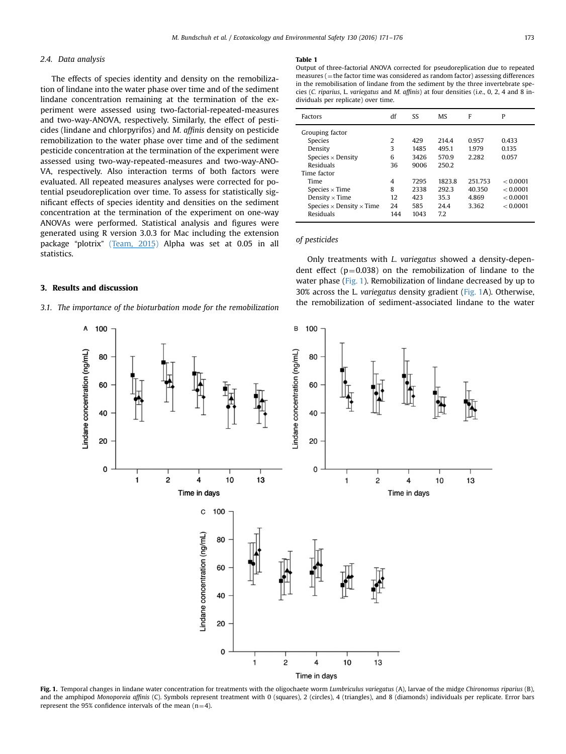## <span id="page-2-0"></span>2.4. Data analysis

The effects of species identity and density on the remobilization of lindane into the water phase over time and of the sediment lindane concentration remaining at the termination of the experiment were assessed using two-factorial-repeated-measures and two-way-ANOVA, respectively. Similarly, the effect of pesticides (lindane and chlorpyrifos) and M. affinis density on pesticide remobilization to the water phase over time and of the sediment pesticide concentration at the termination of the experiment were assessed using two-way-repeated-measures and two-way-ANO-VA, respectively. Also interaction terms of both factors were evaluated. All repeated measures analyses were corrected for potential pseudoreplication over time. To assess for statistically significant effects of species identity and densities on the sediment concentration at the termination of the experiment on one-way ANOVAs were performed. Statistical analysis and figures were generated using R version 3.0.3 for Mac including the extension package "plotrix" [\(T](#page-5-0)[eam,](https://www.researchgate.net/publication/274015857_Team_RDCR_A_Language_And_Environment_For_Statistical_Computing_R_Foundation_for_Statistical_Computing_Vienna_Austria?el=1_x_8&enrichId=rgreq-ac3df9c37c51bb0dd08288c2b31b117c-XXX&enrichSource=Y292ZXJQYWdlOzMwMTYyNDE5MztBUzozNTgyODEwODk0Mzc2OTZAMTQ2MjQzMjI3NjA3NA==)[201](https://www.researchgate.net/publication/274015857_Team_RDCR_A_Language_And_Environment_For_Statistical_Computing_R_Foundation_for_Statistical_Computing_Vienna_Austria?el=1_x_8&enrichId=rgreq-ac3df9c37c51bb0dd08288c2b31b117c-XXX&enrichSource=Y292ZXJQYWdlOzMwMTYyNDE5MztBUzozNTgyODEwODk0Mzc2OTZAMTQ2MjQzMjI3NjA3NA==)[5\)](#page-5-0) Alpha was set at 0.05 in all statistics.

## 3. Results and discussion

## 3.1. The importance of the bioturbation mode for the remobilization

Output of three-factorial ANOVA corrected for pseudoreplication due to repeated  $measures (=$  the factor time was considered as random factor) assessing differences in the remobilisation of lindane from the sediment by the three invertebrate species (C. riparius, L. variegatus and M. affinis) at four densities (i.e., 0, 2, 4 and 8 individuals per replicate) over time.

| Factors                                                                                                                               | df                          | SS                                          | <b>MS</b>                                           | F                                            | P                                               |
|---------------------------------------------------------------------------------------------------------------------------------------|-----------------------------|---------------------------------------------|-----------------------------------------------------|----------------------------------------------|-------------------------------------------------|
| Grouping factor<br><b>Species</b><br>Density<br>Species $\times$ Density<br>Residuals<br>Time factor<br>Time<br>Species $\times$ Time | 2<br>3<br>6<br>36<br>4<br>8 | 429<br>1485<br>3426<br>9006<br>7295<br>2338 | 214.4<br>495.1<br>570.9<br>250.2<br>1823.8<br>292.3 | 0.957<br>1.979<br>2.282<br>251.753<br>40.350 | 0.433<br>0.135<br>0.057<br>< 0.0001<br>< 0.0001 |
| Density $\times$ Time<br>Species $\times$ Density $\times$ Time<br>Residuals                                                          | 12<br>24<br>144             | 423<br>585<br>1043                          | 35.3<br>24.4<br>7.2                                 | 4.869<br>3.362                               | < 0.0001<br>< 0.0001                            |

## of pesticides

Only treatments with L. variegatus showed a density-dependent effect  $(p=0.038)$  on the remobilization of lindane to the water phase (Fig. 1). Remobilization of lindane decreased by up to 30% across the L. variegatus density gradient (Fig. 1A). Otherwise, the remobilization of sediment-associated lindane to the water



Fig. 1. Temporal changes in lindane water concentration for treatments with the oligochaete worm *Lumbriculus variegatus* (A), larvae of the midge *Chironomus riparius* (B), and the amphipod Monoporeia affinis (C). Symbols represent treatment with 0 (squares), 2 (circles), 4 (triangles), and 8 (diamonds) individuals per replicate. Error bars represent the 95% confidence intervals of the mean  $(n=4)$ .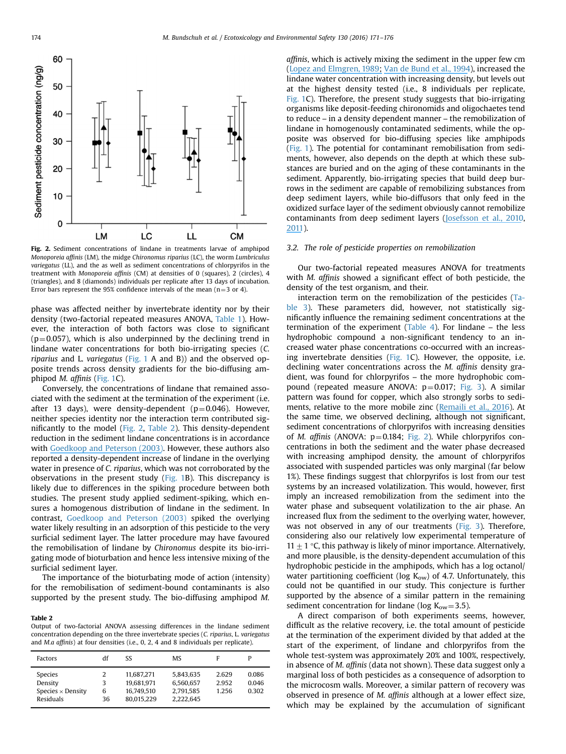

Fig. 2. Sediment concentrations of lindane in treatments larvae of amphipod Monoporeia affinis (LM), the midge Chironomus riparius (LC), the worm Lumbriculus variegatus (LL), and the as well as sediment concentrations of chlorpyrifos in the treatment with Monoporeia affinis (CM) at densities of 0 (squares), 2 (circles), 4 (triangles), and 8 (diamonds) individuals per replicate after 13 days of incubation. Error bars represent the 95% confidence intervals of the mean ( $n=3$  or 4).

phase was affected neither by invertebrate identity nor by their density (two-factorial repeated measures ANOVA, [Table 1\)](#page-2-0). However, the interaction of both factors was close to significant  $(p=0.057)$ , which is also underpinned by the declining trend in lindane water concentrations for both bio-irrigating species (C. riparius and L. variegatus [\(Fig. 1](#page-2-0) A and B)) and the observed opposite trends across density gradients for the bio-diffusing amphipod M. affinis [\(Fig. 1C](#page-2-0)).

Conversely, the concentrations of lindane that remained associated with the sediment at the termination of the experiment (i.e. after 13 days), were density-dependent ( $p=0.046$ ). However, neither species identity nor the interaction term contributed significantly to the model (Fig. 2, Table 2). This density-dependent reduction in the sediment lindane concentrations is in accordance with [Goedkoop and Peterson \(2003\).](#page-4-0) However, these authors also reported a density-dependent increase of lindane in the overlying water in presence of C. riparius, which was not corroborated by the observations in the present study ([Fig. 1B](#page-2-0)). This discrepancy is likely due to differences in the spiking procedure between both studies. The present study applied sediment-spiking, which ensures a homogenous distribution of lindane in the sediment. In contrast, [Goedkoop and Peterson \(2003\)](#page-4-0) spiked the overlying water likely resulting in an adsorption of this pesticide to the very surficial sediment layer. The latter procedure may have favoured the remobilisation of lindane by Chironomus despite its bio-irrigating mode of bioturbation and hence less intensive mixing of the surficial sediment layer.

The importance of the bioturbating mode of action (intensity) for the remobilisation of sediment-bound contaminants is also supported by the present study. The bio-diffusing amphipod M.

## Table 2

Output of two-factorial ANOVA assessing differences in the lindane sediment concentration depending on the three invertebrate species (C. riparius, L. variegatus and M.a affinis) at four densities (i.e., 0, 2, 4 and 8 individuals per replicate).

| Factors                                                            | df           | SS                                                   | <b>MS</b>                                        | F                       |                         |
|--------------------------------------------------------------------|--------------|------------------------------------------------------|--------------------------------------------------|-------------------------|-------------------------|
| Species<br>Density<br>Species $\times$ Density<br><b>Residuals</b> | 3<br>6<br>36 | 11.687.271<br>19.681.971<br>16.749.510<br>80.015.229 | 5.843.635<br>6.560.657<br>2.791.585<br>2.222.645 | 2.629<br>2.952<br>1.256 | 0.086<br>0.046<br>0.302 |

affinis, which is actively mixing the sediment in the upper few cm ([Lopez and Elmgren, 198](#page-5-0)[9;](https://www.researchgate.net/publication/255618353_Feeding_depths_and_organic_absorption_for_the_deposit_feeding_benthic_amphipods_Pontoporera_affinis_and_Pontoporeia_femorata?el=1_x_8&enrichId=rgreq-ac3df9c37c51bb0dd08288c2b31b117c-XXX&enrichSource=Y292ZXJQYWdlOzMwMTYyNDE5MztBUzozNTgyODEwODk0Mzc2OTZAMTQ2MjQzMjI3NjA3NA==) [Van de Bund et al., 1994\)](#page-5-0), increased the lindane water concentration with increasing density, but levels out at the highest density tested (i.e., 8 individuals per replicate, [Fig. 1](#page-2-0)C). Therefore, the present study suggests that bio-irrigating organisms like deposit-feeding chironomids and oligochaetes tend to reduce – in a density dependent manner – the remobilization of lindane in homogenously contaminated sediments, while the opposite was observed for bio-diffusing species like amphipods ([Fig. 1](#page-2-0)). The potential for contaminant remobilisation from sediments, however, also depends on the depth at which these substances are buried and on the aging of these contaminants in the sediment. Apparently, bio-irrigating species that build deep burrows in the sediment are capable of remobilizing substances from deep sediment layers, while bio-diffusors that only feed in the oxidized surface layer of the sediment obviously cannot remobilize contaminants from deep sediment layers [\(J](#page-5-0)[osefsson](https://www.researchgate.net/publication/46217758_Bioturbation-Driven_Release_of_Buried_PCBs_and_PBDEs_from_Different_Depths_in_Contaminated_Sediments?el=1_x_8&enrichId=rgreq-ac3df9c37c51bb0dd08288c2b31b117c-XXX&enrichSource=Y292ZXJQYWdlOzMwMTYyNDE5MztBUzozNTgyODEwODk0Mzc2OTZAMTQ2MjQzMjI3NjA3NA==)[et](https://www.researchgate.net/publication/46217758_Bioturbation-Driven_Release_of_Buried_PCBs_and_PBDEs_from_Different_Depths_in_Contaminated_Sediments?el=1_x_8&enrichId=rgreq-ac3df9c37c51bb0dd08288c2b31b117c-XXX&enrichSource=Y292ZXJQYWdlOzMwMTYyNDE5MztBUzozNTgyODEwODk0Mzc2OTZAMTQ2MjQzMjI3NjA3NA==)[al.,](https://www.researchgate.net/publication/46217758_Bioturbation-Driven_Release_of_Buried_PCBs_and_PBDEs_from_Different_Depths_in_Contaminated_Sediments?el=1_x_8&enrichId=rgreq-ac3df9c37c51bb0dd08288c2b31b117c-XXX&enrichSource=Y292ZXJQYWdlOzMwMTYyNDE5MztBUzozNTgyODEwODk0Mzc2OTZAMTQ2MjQzMjI3NjA3NA==)[201](https://www.researchgate.net/publication/46217758_Bioturbation-Driven_Release_of_Buried_PCBs_and_PBDEs_from_Different_Depths_in_Contaminated_Sediments?el=1_x_8&enrichId=rgreq-ac3df9c37c51bb0dd08288c2b31b117c-XXX&enrichSource=Y292ZXJQYWdlOzMwMTYyNDE5MztBUzozNTgyODEwODk0Mzc2OTZAMTQ2MjQzMjI3NjA3NA==)[0,](#page-5-0) [2011\)](#page-5-0).

#### 3.2. The role of pesticide properties on remobilization

Our two-factorial repeated measures ANOVA for treatments with M. affinis showed a significant effect of both pesticide, the density of the test organism, and their.

interaction term on the remobilization of the pesticides ([Ta](#page-4-0)[ble 3\)](#page-4-0). These parameters did, however, not statistically significantly influence the remaining sediment concentrations at the termination of the experiment ([Table 4](#page-4-0)). For lindane – the less hydrophobic compound a non-significant tendency to an increased water phase concentrations co-occurred with an increasing invertebrate densities [\(Fig. 1C](#page-2-0)). However, the opposite, i.e. declining water concentrations across the M. affinis density gradient, was found for chlorpyrifos – the more hydrophobic compound (repeated measure ANOVA:  $p=0.017$ ; [Fig. 3\)](#page-4-0). A similar pattern was found for copper, which also strongly sorbs to sediments, relative to the more mobile zinc [\(R](#page-5-0)[emaili](https://www.researchgate.net/publication/284137914_The_impact_of_sediment_bioturbation_by_secondary_organisms_on_metal_bioavailability_bioaccumulation_and_toxicity_to_target_organisms_in_benthic_bioassays_Implications_for_sediment_quality_assessment?el=1_x_8&enrichId=rgreq-ac3df9c37c51bb0dd08288c2b31b117c-XXX&enrichSource=Y292ZXJQYWdlOzMwMTYyNDE5MztBUzozNTgyODEwODk0Mzc2OTZAMTQ2MjQzMjI3NjA3NA==)[et](https://www.researchgate.net/publication/284137914_The_impact_of_sediment_bioturbation_by_secondary_organisms_on_metal_bioavailability_bioaccumulation_and_toxicity_to_target_organisms_in_benthic_bioassays_Implications_for_sediment_quality_assessment?el=1_x_8&enrichId=rgreq-ac3df9c37c51bb0dd08288c2b31b117c-XXX&enrichSource=Y292ZXJQYWdlOzMwMTYyNDE5MztBUzozNTgyODEwODk0Mzc2OTZAMTQ2MjQzMjI3NjA3NA==)[al.,](https://www.researchgate.net/publication/284137914_The_impact_of_sediment_bioturbation_by_secondary_organisms_on_metal_bioavailability_bioaccumulation_and_toxicity_to_target_organisms_in_benthic_bioassays_Implications_for_sediment_quality_assessment?el=1_x_8&enrichId=rgreq-ac3df9c37c51bb0dd08288c2b31b117c-XXX&enrichSource=Y292ZXJQYWdlOzMwMTYyNDE5MztBUzozNTgyODEwODk0Mzc2OTZAMTQ2MjQzMjI3NjA3NA==)[201](https://www.researchgate.net/publication/284137914_The_impact_of_sediment_bioturbation_by_secondary_organisms_on_metal_bioavailability_bioaccumulation_and_toxicity_to_target_organisms_in_benthic_bioassays_Implications_for_sediment_quality_assessment?el=1_x_8&enrichId=rgreq-ac3df9c37c51bb0dd08288c2b31b117c-XXX&enrichSource=Y292ZXJQYWdlOzMwMTYyNDE5MztBUzozNTgyODEwODk0Mzc2OTZAMTQ2MjQzMjI3NjA3NA==)[6](#page-5-0)). At the same time, we observed declining, although not significant, sediment concentrations of chlorpyrifos with increasing densities of *M. affinis* (ANOVA:  $p=0.184$ ; Fig. 2). While chlorpyrifos concentrations in both the sediment and the water phase decreased with increasing amphipod density, the amount of chlorpyrifos associated with suspended particles was only marginal (far below 1%). These findings suggest that chlorpyrifos is lost from our test systems by an increased volatilization. This would, however, first imply an increased remobilization from the sediment into the water phase and subsequent volatilization to the air phase. An increased flux from the sediment to the overlying water, however, was not observed in any of our treatments [\(Fig. 3](#page-4-0)). Therefore, considering also our relatively low experimental temperature of 11  $\pm$  1 °C, this pathway is likely of minor importance. Alternatively, and more plausible, is the density-dependent accumulation of this hydrophobic pesticide in the amphipods, which has a log octanol/ water partitioning coefficient (log  $K_{ow}$ ) of 4.7. Unfortunately, this could not be quantified in our study. This conjecture is further supported by the absence of a similar pattern in the remaining sediment concentration for lindane (log  $K_{ow} = 3.5$ ).

A direct comparison of both experiments seems, however, difficult as the relative recovery, i.e. the total amount of pesticide at the termination of the experiment divided by that added at the start of the experiment, of lindane and chlorpyrifos from the whole test-system was approximately 20% and 100%, respectively, in absence of M. affinis (data not shown). These data suggest only a marginal loss of both pesticides as a consequence of adsorption to the microcosm walls. Moreover, a similar pattern of recovery was observed in presence of M. affinis although at a lower effect size, which may be explained by the accumulation of significant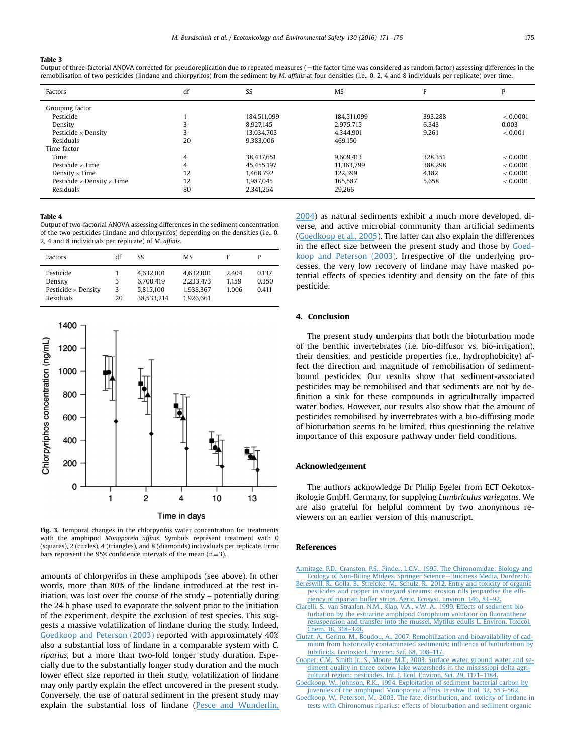#### <span id="page-4-0"></span>Table 3

Output of three-factorial ANOVA corrected for pseudoreplication due to repeated measures (=the factor time was considered as random factor) assessing differences in the remobilisation of two pesticides (lindane and chlorpyrifos) from the sediment by M. affinis at four densities (i.e., 0, 2, 4 and 8 individuals per replicate) over time.

| Factors                                  | df | SS          | <b>MS</b>   |         | P        |
|------------------------------------------|----|-------------|-------------|---------|----------|
| Grouping factor                          |    |             |             |         |          |
| Pesticide                                |    | 184.511.099 | 184.511.099 | 393.288 | < 0.0001 |
| Density                                  |    | 8.927.145   | 2,975,715   | 6.343   | 0.003    |
| Pesticide $\times$ Density               |    | 13.034.703  | 4.344.901   | 9.261   | < 0.001  |
| Residuals                                | 20 | 9.383.006   | 469.150     |         |          |
| Time factor                              |    |             |             |         |          |
| Time                                     | 4  | 38.437.651  | 9,609,413   | 328.351 | < 0.0001 |
| Pesticide $\times$ Time                  | 4  | 45,455,197  | 11.363.799  | 388.298 | < 0.0001 |
| Density $\times$ Time                    | 12 | 1.468.792   | 122.399     | 4.182   | < 0.0001 |
| Pesticide $\times$ Density $\times$ Time | 12 | 1.987.045   | 165.587     | 5.658   | < 0.0001 |
| Residuals                                | 80 | 2.341.254   | 29,266      |         |          |

#### Table 4

Output of two-factorial ANOVA assessing differences in the sediment concentration of the two pesticides (lindane and chlorpyrifos) depending on the densities (i.e., 0, 2, 4 and 8 individuals per replicate) of M. affinis.

| Factors                                                                | df           | SS                                                | <b>MS</b>                                        | F                       |                         |
|------------------------------------------------------------------------|--------------|---------------------------------------------------|--------------------------------------------------|-------------------------|-------------------------|
| Pesticide<br>Density<br>Pesticide $\times$ Density<br><b>Residuals</b> | 3<br>3<br>20 | 4.632.001<br>6.700.419<br>5,815,100<br>38.533.214 | 4.632.001<br>2,233,473<br>1.938.367<br>1.926.661 | 2.404<br>1.159<br>1.006 | 0.137<br>0.350<br>0.411 |



Fig. 3. Temporal changes in the chlorpyrifos water concentration for treatments with the amphipod Monoporeia affinis. Symbols represent treatment with 0 (squares), 2 (circles), 4 (triangles), and 8 (diamonds) individuals per replicate. Error bars represent the 95% confidence intervals of the mean  $(n=3)$ .

amounts of chlorpyrifos in these amphipods (see above). In other words, more than 80% of the lindane introduced at the test initiation, was lost over the course of the study – potentially during the 24 h phase used to evaporate the solvent prior to the initiation of the experiment, despite the exclusion of test species. This suggests a massive volatilization of lindane during the study. Indeed, Goedkoop and Peterson (2003) reported with approximately 40% also a substantial loss of lindane in a comparable system with C. riparius, but a more than two-fold longer study duration. Especially due to the substantially longer study duration and the much lower effect size reported in their study, volatilization of lindane may only partly explain the effect uncovered in the present study. Conversely, the use of natural sediment in the present study may explain the substantial loss of lindane [\(Pesce and Wunderlin,](#page-5-0) [2004\)](#page-5-0) as natural sediments exhibit a much more developed, diverse, and active microbial community than artificial sediments ([Goedkoop et al., 2005](#page-5-0)). The latter can also explain the differences in the effect size between the present study and those by Goedkoop and Peterson (2003). Irrespective of the underlying processes, the very low recovery of lindane may have masked potential effects of species identity and density on the fate of this pesticide.

## 4. Conclusion

The present study underpins that both the bioturbation mode of the benthic invertebrates (i.e. bio-diffusor vs. bio-irrigation), their densities, and pesticide properties (i.e., hydrophobicity) affect the direction and magnitude of remobilisation of sedimentbound pesticides. Our results show that sediment-associated pesticides may be remobilised and that sediments are not by definition a sink for these compounds in agriculturally impacted water bodies. However, our results also show that the amount of pesticides remobilised by invertebrates with a bio-diffusing mode of bioturbation seems to be limited, thus questioning the relative importance of this exposure pathway under field conditions.

### Acknowledgement

The authors acknowledge Dr Philip Egeler from ECT Oekotoxikologie GmbH, Germany, for supplying Lumbriculus variegatus. We are also grateful for helpful comment by two anonymous reviewers on an earlier version of this manuscript.

## References

- [Armitage, P.D., Cranston, P.S., Pinder, L.C.V., 1995. The Chironomidae: Biology and](http://refhub.elsevier.com/S0147-6513(16)30119-1/sbref1) [Ecology](https://www.researchgate.net/publication/260083850_The_Chironomidae_The_Biology_and_Ecology_of_Non-Biting_Midges?el=1_x_8&enrichId=rgreq-ac3df9c37c51bb0dd08288c2b31b117c-XXX&enrichSource=Y292ZXJQYWdlOzMwMTYyNDE5MztBUzozNTgyODEwODk0Mzc2OTZAMTQ2MjQzMjI3NjA3NA==)[of](https://www.researchgate.net/publication/260083850_The_Chironomidae_The_Biology_and_Ecology_of_Non-Biting_Midges?el=1_x_8&enrichId=rgreq-ac3df9c37c51bb0dd08288c2b31b117c-XXX&enrichSource=Y292ZXJQYWdlOzMwMTYyNDE5MztBUzozNTgyODEwODk0Mzc2OTZAMTQ2MjQzMjI3NjA3NA==) [Non-Biting](https://www.researchgate.net/publication/260083850_The_Chironomidae_The_Biology_and_Ecology_of_Non-Biting_Midges?el=1_x_8&enrichId=rgreq-ac3df9c37c51bb0dd08288c2b31b117c-XXX&enrichSource=Y292ZXJQYWdlOzMwMTYyNDE5MztBUzozNTgyODEwODk0Mzc2OTZAMTQ2MjQzMjI3NjA3NA==) [Midges.](https://www.researchgate.net/publication/260083850_The_Chironomidae_The_Biology_and_Ecology_of_Non-Biting_Midges?el=1_x_8&enrichId=rgreq-ac3df9c37c51bb0dd08288c2b31b117c-XXX&enrichSource=Y292ZXJQYWdlOzMwMTYyNDE5MztBUzozNTgyODEwODk0Mzc2OTZAMTQ2MjQzMjI3NjA3NA==) [Springer](https://www.researchgate.net/publication/260083850_The_Chironomidae_The_Biology_and_Ecology_of_Non-Biting_Midges?el=1_x_8&enrichId=rgreq-ac3df9c37c51bb0dd08288c2b31b117c-XXX&enrichSource=Y292ZXJQYWdlOzMwMTYyNDE5MztBUzozNTgyODEwODk0Mzc2OTZAMTQ2MjQzMjI3NjA3NA==) [Science](https://www.researchgate.net/publication/260083850_The_Chironomidae_The_Biology_and_Ecology_of_Non-Biting_Midges?el=1_x_8&enrichId=rgreq-ac3df9c37c51bb0dd08288c2b31b117c-XXX&enrichSource=Y292ZXJQYWdlOzMwMTYyNDE5MztBUzozNTgyODEwODk0Mzc2OTZAMTQ2MjQzMjI3NjA3NA==) + [Buidness Media, Dordrecht.](http://refhub.elsevier.com/S0147-6513(16)30119-1/sbref1)
- [Bereswill, R., Golla, B., Streloke, M., Schulz, R., 2012. Entry and toxicity of organic](http://refhub.elsevier.com/S0147-6513(16)30119-1/sbref2) [pesticides and copper in vineyard streams: erosion rills jeopardise the ef](http://refhub.elsevier.com/S0147-6513(16)30119-1/sbref2)fi[ciency of riparian buffer strips. Agric. Ecosyst. Environ. 146, 81](http://refhub.elsevier.com/S0147-6513(16)30119-1/sbref2)–92.
- [Ciarelli, S., van Straalen, N.M., Klap, V.A., v.W, A., 1999. Effects of sediment bio](http://refhub.elsevier.com/S0147-6513(16)30119-1/sbref3)[turbation](https://www.researchgate.net/publication/229538138_Effects_of_sediment_bioturbation_by_the_estuarine_amphipod_Corophium_volutator_on_fluoranthene_resuspension_and_transfer_into_the_mussel_Mytilus_edulis_L?el=1_x_8&enrichId=rgreq-ac3df9c37c51bb0dd08288c2b31b117c-XXX&enrichSource=Y292ZXJQYWdlOzMwMTYyNDE5MztBUzozNTgyODEwODk0Mzc2OTZAMTQ2MjQzMjI3NjA3NA==)[by](https://www.researchgate.net/publication/229538138_Effects_of_sediment_bioturbation_by_the_estuarine_amphipod_Corophium_volutator_on_fluoranthene_resuspension_and_transfer_into_the_mussel_Mytilus_edulis_L?el=1_x_8&enrichId=rgreq-ac3df9c37c51bb0dd08288c2b31b117c-XXX&enrichSource=Y292ZXJQYWdlOzMwMTYyNDE5MztBUzozNTgyODEwODk0Mzc2OTZAMTQ2MjQzMjI3NjA3NA==)[the](https://www.researchgate.net/publication/229538138_Effects_of_sediment_bioturbation_by_the_estuarine_amphipod_Corophium_volutator_on_fluoranthene_resuspension_and_transfer_into_the_mussel_Mytilus_edulis_L?el=1_x_8&enrichId=rgreq-ac3df9c37c51bb0dd08288c2b31b117c-XXX&enrichSource=Y292ZXJQYWdlOzMwMTYyNDE5MztBUzozNTgyODEwODk0Mzc2OTZAMTQ2MjQzMjI3NjA3NA==)[estuarine](https://www.researchgate.net/publication/229538138_Effects_of_sediment_bioturbation_by_the_estuarine_amphipod_Corophium_volutator_on_fluoranthene_resuspension_and_transfer_into_the_mussel_Mytilus_edulis_L?el=1_x_8&enrichId=rgreq-ac3df9c37c51bb0dd08288c2b31b117c-XXX&enrichSource=Y292ZXJQYWdlOzMwMTYyNDE5MztBUzozNTgyODEwODk0Mzc2OTZAMTQ2MjQzMjI3NjA3NA==)[amphipod](https://www.researchgate.net/publication/229538138_Effects_of_sediment_bioturbation_by_the_estuarine_amphipod_Corophium_volutator_on_fluoranthene_resuspension_and_transfer_into_the_mussel_Mytilus_edulis_L?el=1_x_8&enrichId=rgreq-ac3df9c37c51bb0dd08288c2b31b117c-XXX&enrichSource=Y292ZXJQYWdlOzMwMTYyNDE5MztBUzozNTgyODEwODk0Mzc2OTZAMTQ2MjQzMjI3NjA3NA==)[Corophium](https://www.researchgate.net/publication/229538138_Effects_of_sediment_bioturbation_by_the_estuarine_amphipod_Corophium_volutator_on_fluoranthene_resuspension_and_transfer_into_the_mussel_Mytilus_edulis_L?el=1_x_8&enrichId=rgreq-ac3df9c37c51bb0dd08288c2b31b117c-XXX&enrichSource=Y292ZXJQYWdlOzMwMTYyNDE5MztBUzozNTgyODEwODk0Mzc2OTZAMTQ2MjQzMjI3NjA3NA==)[volutator](https://www.researchgate.net/publication/229538138_Effects_of_sediment_bioturbation_by_the_estuarine_amphipod_Corophium_volutator_on_fluoranthene_resuspension_and_transfer_into_the_mussel_Mytilus_edulis_L?el=1_x_8&enrichId=rgreq-ac3df9c37c51bb0dd08288c2b31b117c-XXX&enrichSource=Y292ZXJQYWdlOzMwMTYyNDE5MztBUzozNTgyODEwODk0Mzc2OTZAMTQ2MjQzMjI3NjA3NA==)[on](https://www.researchgate.net/publication/229538138_Effects_of_sediment_bioturbation_by_the_estuarine_amphipod_Corophium_volutator_on_fluoranthene_resuspension_and_transfer_into_the_mussel_Mytilus_edulis_L?el=1_x_8&enrichId=rgreq-ac3df9c37c51bb0dd08288c2b31b117c-XXX&enrichSource=Y292ZXJQYWdlOzMwMTYyNDE5MztBUzozNTgyODEwODk0Mzc2OTZAMTQ2MjQzMjI3NjA3NA==) fluoranthene [resuspension and transfer into the mussel, Mytilus edulis L. Environ. Toxicol.](http://refhub.elsevier.com/S0147-6513(16)30119-1/sbref3) [Chem. 18, 318](http://refhub.elsevier.com/S0147-6513(16)30119-1/sbref3)–328.
- [Ciutat, A., Gerino, M., Boudou, A., 2007. Remobilization and bioavailability of cad](http://refhub.elsevier.com/S0147-6513(16)30119-1/sbref4)[mium from historically contaminated sediments: in](http://refhub.elsevier.com/S0147-6513(16)30119-1/sbref4)fluence of bioturbation by tubifi[cids.](https://www.researchgate.net/publication/6879565_Remobilization_and_bioavailability_of_cadmium_from_historically_contaminated_sediments_Influence_of_bioturbation_by_tubificids?el=1_x_8&enrichId=rgreq-ac3df9c37c51bb0dd08288c2b31b117c-XXX&enrichSource=Y292ZXJQYWdlOzMwMTYyNDE5MztBUzozNTgyODEwODk0Mzc2OTZAMTQ2MjQzMjI3NjA3NA==)[Ecotoxicol.](https://www.researchgate.net/publication/6879565_Remobilization_and_bioavailability_of_cadmium_from_historically_contaminated_sediments_Influence_of_bioturbation_by_tubificids?el=1_x_8&enrichId=rgreq-ac3df9c37c51bb0dd08288c2b31b117c-XXX&enrichSource=Y292ZXJQYWdlOzMwMTYyNDE5MztBUzozNTgyODEwODk0Mzc2OTZAMTQ2MjQzMjI3NjA3NA==)[Environ.](https://www.researchgate.net/publication/6879565_Remobilization_and_bioavailability_of_cadmium_from_historically_contaminated_sediments_Influence_of_bioturbation_by_tubificids?el=1_x_8&enrichId=rgreq-ac3df9c37c51bb0dd08288c2b31b117c-XXX&enrichSource=Y292ZXJQYWdlOzMwMTYyNDE5MztBUzozNTgyODEwODk0Mzc2OTZAMTQ2MjQzMjI3NjA3NA==)[Saf.](https://www.researchgate.net/publication/6879565_Remobilization_and_bioavailability_of_cadmium_from_historically_contaminated_sediments_Influence_of_bioturbation_by_tubificids?el=1_x_8&enrichId=rgreq-ac3df9c37c51bb0dd08288c2b31b117c-XXX&enrichSource=Y292ZXJQYWdlOzMwMTYyNDE5MztBUzozNTgyODEwODk0Mzc2OTZAMTQ2MjQzMjI3NjA3NA==)[68,](https://www.researchgate.net/publication/6879565_Remobilization_and_bioavailability_of_cadmium_from_historically_contaminated_sediments_Influence_of_bioturbation_by_tubificids?el=1_x_8&enrichId=rgreq-ac3df9c37c51bb0dd08288c2b31b117c-XXX&enrichSource=Y292ZXJQYWdlOzMwMTYyNDE5MztBUzozNTgyODEwODk0Mzc2OTZAMTQ2MjQzMjI3NjA3NA==)[108](https://www.researchgate.net/publication/6879565_Remobilization_and_bioavailability_of_cadmium_from_historically_contaminated_sediments_Influence_of_bioturbation_by_tubificids?el=1_x_8&enrichId=rgreq-ac3df9c37c51bb0dd08288c2b31b117c-XXX&enrichSource=Y292ZXJQYWdlOzMwMTYyNDE5MztBUzozNTgyODEwODk0Mzc2OTZAMTQ2MjQzMjI3NjA3NA==)–117.
- [Cooper,](https://www.researchgate.net/publication/43277208_Surface_water_ground_water_and_sediment_quality_in_three_oxbow_lake_watersheds_in_the_Mississippi_delta_agriculture_region_pesticides_Int_J_Ecol_Environ_Sci?el=1_x_8&enrichId=rgreq-ac3df9c37c51bb0dd08288c2b31b117c-XXX&enrichSource=Y292ZXJQYWdlOzMwMTYyNDE5MztBUzozNTgyODEwODk0Mzc2OTZAMTQ2MjQzMjI3NjA3NA==)[C.M.,](https://www.researchgate.net/publication/43277208_Surface_water_ground_water_and_sediment_quality_in_three_oxbow_lake_watersheds_in_the_Mississippi_delta_agriculture_region_pesticides_Int_J_Ecol_Environ_Sci?el=1_x_8&enrichId=rgreq-ac3df9c37c51bb0dd08288c2b31b117c-XXX&enrichSource=Y292ZXJQYWdlOzMwMTYyNDE5MztBUzozNTgyODEwODk0Mzc2OTZAMTQ2MjQzMjI3NjA3NA==)[Smith](https://www.researchgate.net/publication/43277208_Surface_water_ground_water_and_sediment_quality_in_three_oxbow_lake_watersheds_in_the_Mississippi_delta_agriculture_region_pesticides_Int_J_Ecol_Environ_Sci?el=1_x_8&enrichId=rgreq-ac3df9c37c51bb0dd08288c2b31b117c-XXX&enrichSource=Y292ZXJQYWdlOzMwMTYyNDE5MztBUzozNTgyODEwODk0Mzc2OTZAMTQ2MjQzMjI3NjA3NA==)[Jr.,](https://www.researchgate.net/publication/43277208_Surface_water_ground_water_and_sediment_quality_in_three_oxbow_lake_watersheds_in_the_Mississippi_delta_agriculture_region_pesticides_Int_J_Ecol_Environ_Sci?el=1_x_8&enrichId=rgreq-ac3df9c37c51bb0dd08288c2b31b117c-XXX&enrichSource=Y292ZXJQYWdlOzMwMTYyNDE5MztBUzozNTgyODEwODk0Mzc2OTZAMTQ2MjQzMjI3NjA3NA==)[S.,](https://www.researchgate.net/publication/43277208_Surface_water_ground_water_and_sediment_quality_in_three_oxbow_lake_watersheds_in_the_Mississippi_delta_agriculture_region_pesticides_Int_J_Ecol_Environ_Sci?el=1_x_8&enrichId=rgreq-ac3df9c37c51bb0dd08288c2b31b117c-XXX&enrichSource=Y292ZXJQYWdlOzMwMTYyNDE5MztBUzozNTgyODEwODk0Mzc2OTZAMTQ2MjQzMjI3NjA3NA==)[Moore,](https://www.researchgate.net/publication/43277208_Surface_water_ground_water_and_sediment_quality_in_three_oxbow_lake_watersheds_in_the_Mississippi_delta_agriculture_region_pesticides_Int_J_Ecol_Environ_Sci?el=1_x_8&enrichId=rgreq-ac3df9c37c51bb0dd08288c2b31b117c-XXX&enrichSource=Y292ZXJQYWdlOzMwMTYyNDE5MztBUzozNTgyODEwODk0Mzc2OTZAMTQ2MjQzMjI3NjA3NA==)[M.T.,](https://www.researchgate.net/publication/43277208_Surface_water_ground_water_and_sediment_quality_in_three_oxbow_lake_watersheds_in_the_Mississippi_delta_agriculture_region_pesticides_Int_J_Ecol_Environ_Sci?el=1_x_8&enrichId=rgreq-ac3df9c37c51bb0dd08288c2b31b117c-XXX&enrichSource=Y292ZXJQYWdlOzMwMTYyNDE5MztBUzozNTgyODEwODk0Mzc2OTZAMTQ2MjQzMjI3NjA3NA==)[2003.](https://www.researchgate.net/publication/43277208_Surface_water_ground_water_and_sediment_quality_in_three_oxbow_lake_watersheds_in_the_Mississippi_delta_agriculture_region_pesticides_Int_J_Ecol_Environ_Sci?el=1_x_8&enrichId=rgreq-ac3df9c37c51bb0dd08288c2b31b117c-XXX&enrichSource=Y292ZXJQYWdlOzMwMTYyNDE5MztBUzozNTgyODEwODk0Mzc2OTZAMTQ2MjQzMjI3NjA3NA==)[Surface](https://www.researchgate.net/publication/43277208_Surface_water_ground_water_and_sediment_quality_in_three_oxbow_lake_watersheds_in_the_Mississippi_delta_agriculture_region_pesticides_Int_J_Ecol_Environ_Sci?el=1_x_8&enrichId=rgreq-ac3df9c37c51bb0dd08288c2b31b117c-XXX&enrichSource=Y292ZXJQYWdlOzMwMTYyNDE5MztBUzozNTgyODEwODk0Mzc2OTZAMTQ2MjQzMjI3NjA3NA==)[water,](https://www.researchgate.net/publication/43277208_Surface_water_ground_water_and_sediment_quality_in_three_oxbow_lake_watersheds_in_the_Mississippi_delta_agriculture_region_pesticides_Int_J_Ecol_Environ_Sci?el=1_x_8&enrichId=rgreq-ac3df9c37c51bb0dd08288c2b31b117c-XXX&enrichSource=Y292ZXJQYWdlOzMwMTYyNDE5MztBUzozNTgyODEwODk0Mzc2OTZAMTQ2MjQzMjI3NjA3NA==)[ground](https://www.researchgate.net/publication/43277208_Surface_water_ground_water_and_sediment_quality_in_three_oxbow_lake_watersheds_in_the_Mississippi_delta_agriculture_region_pesticides_Int_J_Ecol_Environ_Sci?el=1_x_8&enrichId=rgreq-ac3df9c37c51bb0dd08288c2b31b117c-XXX&enrichSource=Y292ZXJQYWdlOzMwMTYyNDE5MztBUzozNTgyODEwODk0Mzc2OTZAMTQ2MjQzMjI3NjA3NA==)[water](https://www.researchgate.net/publication/43277208_Surface_water_ground_water_and_sediment_quality_in_three_oxbow_lake_watersheds_in_the_Mississippi_delta_agriculture_region_pesticides_Int_J_Ecol_Environ_Sci?el=1_x_8&enrichId=rgreq-ac3df9c37c51bb0dd08288c2b31b117c-XXX&enrichSource=Y292ZXJQYWdlOzMwMTYyNDE5MztBUzozNTgyODEwODk0Mzc2OTZAMTQ2MjQzMjI3NjA3NA==)[and](https://www.researchgate.net/publication/43277208_Surface_water_ground_water_and_sediment_quality_in_three_oxbow_lake_watersheds_in_the_Mississippi_delta_agriculture_region_pesticides_Int_J_Ecol_Environ_Sci?el=1_x_8&enrichId=rgreq-ac3df9c37c51bb0dd08288c2b31b117c-XXX&enrichSource=Y292ZXJQYWdlOzMwMTYyNDE5MztBUzozNTgyODEwODk0Mzc2OTZAMTQ2MjQzMjI3NjA3NA==)[se](https://www.researchgate.net/publication/43277208_Surface_water_ground_water_and_sediment_quality_in_three_oxbow_lake_watersheds_in_the_Mississippi_delta_agriculture_region_pesticides_Int_J_Ecol_Environ_Sci?el=1_x_8&enrichId=rgreq-ac3df9c37c51bb0dd08288c2b31b117c-XXX&enrichSource=Y292ZXJQYWdlOzMwMTYyNDE5MztBUzozNTgyODEwODk0Mzc2OTZAMTQ2MjQzMjI3NjA3NA==)[diment](https://www.researchgate.net/publication/43277208_Surface_water_ground_water_and_sediment_quality_in_three_oxbow_lake_watersheds_in_the_Mississippi_delta_agriculture_region_pesticides_Int_J_Ecol_Environ_Sci?el=1_x_8&enrichId=rgreq-ac3df9c37c51bb0dd08288c2b31b117c-XXX&enrichSource=Y292ZXJQYWdlOzMwMTYyNDE5MztBUzozNTgyODEwODk0Mzc2OTZAMTQ2MjQzMjI3NjA3NA==)[quality](https://www.researchgate.net/publication/43277208_Surface_water_ground_water_and_sediment_quality_in_three_oxbow_lake_watersheds_in_the_Mississippi_delta_agriculture_region_pesticides_Int_J_Ecol_Environ_Sci?el=1_x_8&enrichId=rgreq-ac3df9c37c51bb0dd08288c2b31b117c-XXX&enrichSource=Y292ZXJQYWdlOzMwMTYyNDE5MztBUzozNTgyODEwODk0Mzc2OTZAMTQ2MjQzMjI3NjA3NA==)[in](https://www.researchgate.net/publication/43277208_Surface_water_ground_water_and_sediment_quality_in_three_oxbow_lake_watersheds_in_the_Mississippi_delta_agriculture_region_pesticides_Int_J_Ecol_Environ_Sci?el=1_x_8&enrichId=rgreq-ac3df9c37c51bb0dd08288c2b31b117c-XXX&enrichSource=Y292ZXJQYWdlOzMwMTYyNDE5MztBUzozNTgyODEwODk0Mzc2OTZAMTQ2MjQzMjI3NjA3NA==)[three](https://www.researchgate.net/publication/43277208_Surface_water_ground_water_and_sediment_quality_in_three_oxbow_lake_watersheds_in_the_Mississippi_delta_agriculture_region_pesticides_Int_J_Ecol_Environ_Sci?el=1_x_8&enrichId=rgreq-ac3df9c37c51bb0dd08288c2b31b117c-XXX&enrichSource=Y292ZXJQYWdlOzMwMTYyNDE5MztBUzozNTgyODEwODk0Mzc2OTZAMTQ2MjQzMjI3NjA3NA==)[oxbow](https://www.researchgate.net/publication/43277208_Surface_water_ground_water_and_sediment_quality_in_three_oxbow_lake_watersheds_in_the_Mississippi_delta_agriculture_region_pesticides_Int_J_Ecol_Environ_Sci?el=1_x_8&enrichId=rgreq-ac3df9c37c51bb0dd08288c2b31b117c-XXX&enrichSource=Y292ZXJQYWdlOzMwMTYyNDE5MztBUzozNTgyODEwODk0Mzc2OTZAMTQ2MjQzMjI3NjA3NA==)[lake](https://www.researchgate.net/publication/43277208_Surface_water_ground_water_and_sediment_quality_in_three_oxbow_lake_watersheds_in_the_Mississippi_delta_agriculture_region_pesticides_Int_J_Ecol_Environ_Sci?el=1_x_8&enrichId=rgreq-ac3df9c37c51bb0dd08288c2b31b117c-XXX&enrichSource=Y292ZXJQYWdlOzMwMTYyNDE5MztBUzozNTgyODEwODk0Mzc2OTZAMTQ2MjQzMjI3NjA3NA==)[watersheds](https://www.researchgate.net/publication/43277208_Surface_water_ground_water_and_sediment_quality_in_three_oxbow_lake_watersheds_in_the_Mississippi_delta_agriculture_region_pesticides_Int_J_Ecol_Environ_Sci?el=1_x_8&enrichId=rgreq-ac3df9c37c51bb0dd08288c2b31b117c-XXX&enrichSource=Y292ZXJQYWdlOzMwMTYyNDE5MztBUzozNTgyODEwODk0Mzc2OTZAMTQ2MjQzMjI3NjA3NA==)[in](https://www.researchgate.net/publication/43277208_Surface_water_ground_water_and_sediment_quality_in_three_oxbow_lake_watersheds_in_the_Mississippi_delta_agriculture_region_pesticides_Int_J_Ecol_Environ_Sci?el=1_x_8&enrichId=rgreq-ac3df9c37c51bb0dd08288c2b31b117c-XXX&enrichSource=Y292ZXJQYWdlOzMwMTYyNDE5MztBUzozNTgyODEwODk0Mzc2OTZAMTQ2MjQzMjI3NjA3NA==)[the](https://www.researchgate.net/publication/43277208_Surface_water_ground_water_and_sediment_quality_in_three_oxbow_lake_watersheds_in_the_Mississippi_delta_agriculture_region_pesticides_Int_J_Ecol_Environ_Sci?el=1_x_8&enrichId=rgreq-ac3df9c37c51bb0dd08288c2b31b117c-XXX&enrichSource=Y292ZXJQYWdlOzMwMTYyNDE5MztBUzozNTgyODEwODk0Mzc2OTZAMTQ2MjQzMjI3NjA3NA==)[mississippi](https://www.researchgate.net/publication/43277208_Surface_water_ground_water_and_sediment_quality_in_three_oxbow_lake_watersheds_in_the_Mississippi_delta_agriculture_region_pesticides_Int_J_Ecol_Environ_Sci?el=1_x_8&enrichId=rgreq-ac3df9c37c51bb0dd08288c2b31b117c-XXX&enrichSource=Y292ZXJQYWdlOzMwMTYyNDE5MztBUzozNTgyODEwODk0Mzc2OTZAMTQ2MjQzMjI3NjA3NA==)[delta](https://www.researchgate.net/publication/43277208_Surface_water_ground_water_and_sediment_quality_in_three_oxbow_lake_watersheds_in_the_Mississippi_delta_agriculture_region_pesticides_Int_J_Ecol_Environ_Sci?el=1_x_8&enrichId=rgreq-ac3df9c37c51bb0dd08288c2b31b117c-XXX&enrichSource=Y292ZXJQYWdlOzMwMTYyNDE5MztBUzozNTgyODEwODk0Mzc2OTZAMTQ2MjQzMjI3NjA3NA==)[agri](https://www.researchgate.net/publication/43277208_Surface_water_ground_water_and_sediment_quality_in_three_oxbow_lake_watersheds_in_the_Mississippi_delta_agriculture_region_pesticides_Int_J_Ecol_Environ_Sci?el=1_x_8&enrichId=rgreq-ac3df9c37c51bb0dd08288c2b31b117c-XXX&enrichSource=Y292ZXJQYWdlOzMwMTYyNDE5MztBUzozNTgyODEwODk0Mzc2OTZAMTQ2MjQzMjI3NjA3NA==)[cultural](https://www.researchgate.net/publication/43277208_Surface_water_ground_water_and_sediment_quality_in_three_oxbow_lake_watersheds_in_the_Mississippi_delta_agriculture_region_pesticides_Int_J_Ecol_Environ_Sci?el=1_x_8&enrichId=rgreq-ac3df9c37c51bb0dd08288c2b31b117c-XXX&enrichSource=Y292ZXJQYWdlOzMwMTYyNDE5MztBUzozNTgyODEwODk0Mzc2OTZAMTQ2MjQzMjI3NjA3NA==)[region:](https://www.researchgate.net/publication/43277208_Surface_water_ground_water_and_sediment_quality_in_three_oxbow_lake_watersheds_in_the_Mississippi_delta_agriculture_region_pesticides_Int_J_Ecol_Environ_Sci?el=1_x_8&enrichId=rgreq-ac3df9c37c51bb0dd08288c2b31b117c-XXX&enrichSource=Y292ZXJQYWdlOzMwMTYyNDE5MztBUzozNTgyODEwODk0Mzc2OTZAMTQ2MjQzMjI3NjA3NA==)[pesticides.](https://www.researchgate.net/publication/43277208_Surface_water_ground_water_and_sediment_quality_in_three_oxbow_lake_watersheds_in_the_Mississippi_delta_agriculture_region_pesticides_Int_J_Ecol_Environ_Sci?el=1_x_8&enrichId=rgreq-ac3df9c37c51bb0dd08288c2b31b117c-XXX&enrichSource=Y292ZXJQYWdlOzMwMTYyNDE5MztBUzozNTgyODEwODk0Mzc2OTZAMTQ2MjQzMjI3NjA3NA==)[Int.](https://www.researchgate.net/publication/43277208_Surface_water_ground_water_and_sediment_quality_in_three_oxbow_lake_watersheds_in_the_Mississippi_delta_agriculture_region_pesticides_Int_J_Ecol_Environ_Sci?el=1_x_8&enrichId=rgreq-ac3df9c37c51bb0dd08288c2b31b117c-XXX&enrichSource=Y292ZXJQYWdlOzMwMTYyNDE5MztBUzozNTgyODEwODk0Mzc2OTZAMTQ2MjQzMjI3NjA3NA==)[J.](https://www.researchgate.net/publication/43277208_Surface_water_ground_water_and_sediment_quality_in_three_oxbow_lake_watersheds_in_the_Mississippi_delta_agriculture_region_pesticides_Int_J_Ecol_Environ_Sci?el=1_x_8&enrichId=rgreq-ac3df9c37c51bb0dd08288c2b31b117c-XXX&enrichSource=Y292ZXJQYWdlOzMwMTYyNDE5MztBUzozNTgyODEwODk0Mzc2OTZAMTQ2MjQzMjI3NjA3NA==)[Ecol.](https://www.researchgate.net/publication/43277208_Surface_water_ground_water_and_sediment_quality_in_three_oxbow_lake_watersheds_in_the_Mississippi_delta_agriculture_region_pesticides_Int_J_Ecol_Environ_Sci?el=1_x_8&enrichId=rgreq-ac3df9c37c51bb0dd08288c2b31b117c-XXX&enrichSource=Y292ZXJQYWdlOzMwMTYyNDE5MztBUzozNTgyODEwODk0Mzc2OTZAMTQ2MjQzMjI3NjA3NA==)[Environ.](https://www.researchgate.net/publication/43277208_Surface_water_ground_water_and_sediment_quality_in_three_oxbow_lake_watersheds_in_the_Mississippi_delta_agriculture_region_pesticides_Int_J_Ecol_Environ_Sci?el=1_x_8&enrichId=rgreq-ac3df9c37c51bb0dd08288c2b31b117c-XXX&enrichSource=Y292ZXJQYWdlOzMwMTYyNDE5MztBUzozNTgyODEwODk0Mzc2OTZAMTQ2MjQzMjI3NjA3NA==)[Sci.](https://www.researchgate.net/publication/43277208_Surface_water_ground_water_and_sediment_quality_in_three_oxbow_lake_watersheds_in_the_Mississippi_delta_agriculture_region_pesticides_Int_J_Ecol_Environ_Sci?el=1_x_8&enrichId=rgreq-ac3df9c37c51bb0dd08288c2b31b117c-XXX&enrichSource=Y292ZXJQYWdlOzMwMTYyNDE5MztBUzozNTgyODEwODk0Mzc2OTZAMTQ2MjQzMjI3NjA3NA==)[29,](https://www.researchgate.net/publication/43277208_Surface_water_ground_water_and_sediment_quality_in_three_oxbow_lake_watersheds_in_the_Mississippi_delta_agriculture_region_pesticides_Int_J_Ecol_Environ_Sci?el=1_x_8&enrichId=rgreq-ac3df9c37c51bb0dd08288c2b31b117c-XXX&enrichSource=Y292ZXJQYWdlOzMwMTYyNDE5MztBUzozNTgyODEwODk0Mzc2OTZAMTQ2MjQzMjI3NjA3NA==)[1171](https://www.researchgate.net/publication/43277208_Surface_water_ground_water_and_sediment_quality_in_three_oxbow_lake_watersheds_in_the_Mississippi_delta_agriculture_region_pesticides_Int_J_Ecol_Environ_Sci?el=1_x_8&enrichId=rgreq-ac3df9c37c51bb0dd08288c2b31b117c-XXX&enrichSource=Y292ZXJQYWdlOzMwMTYyNDE5MztBUzozNTgyODEwODk0Mzc2OTZAMTQ2MjQzMjI3NjA3NA==)–1184.
- [Goedkoop,](https://www.researchgate.net/publication/230382381_Exploitation_of_sediment_bacterial_carbon_by_juveniles_of_the_amphipod_Monoporeia_affinis?el=1_x_8&enrichId=rgreq-ac3df9c37c51bb0dd08288c2b31b117c-XXX&enrichSource=Y292ZXJQYWdlOzMwMTYyNDE5MztBUzozNTgyODEwODk0Mzc2OTZAMTQ2MjQzMjI3NjA3NA==)[W.,](https://www.researchgate.net/publication/230382381_Exploitation_of_sediment_bacterial_carbon_by_juveniles_of_the_amphipod_Monoporeia_affinis?el=1_x_8&enrichId=rgreq-ac3df9c37c51bb0dd08288c2b31b117c-XXX&enrichSource=Y292ZXJQYWdlOzMwMTYyNDE5MztBUzozNTgyODEwODk0Mzc2OTZAMTQ2MjQzMjI3NjA3NA==)[Johnson,](https://www.researchgate.net/publication/230382381_Exploitation_of_sediment_bacterial_carbon_by_juveniles_of_the_amphipod_Monoporeia_affinis?el=1_x_8&enrichId=rgreq-ac3df9c37c51bb0dd08288c2b31b117c-XXX&enrichSource=Y292ZXJQYWdlOzMwMTYyNDE5MztBUzozNTgyODEwODk0Mzc2OTZAMTQ2MjQzMjI3NjA3NA==)[R.K.,](https://www.researchgate.net/publication/230382381_Exploitation_of_sediment_bacterial_carbon_by_juveniles_of_the_amphipod_Monoporeia_affinis?el=1_x_8&enrichId=rgreq-ac3df9c37c51bb0dd08288c2b31b117c-XXX&enrichSource=Y292ZXJQYWdlOzMwMTYyNDE5MztBUzozNTgyODEwODk0Mzc2OTZAMTQ2MjQzMjI3NjA3NA==)[1994.](https://www.researchgate.net/publication/230382381_Exploitation_of_sediment_bacterial_carbon_by_juveniles_of_the_amphipod_Monoporeia_affinis?el=1_x_8&enrichId=rgreq-ac3df9c37c51bb0dd08288c2b31b117c-XXX&enrichSource=Y292ZXJQYWdlOzMwMTYyNDE5MztBUzozNTgyODEwODk0Mzc2OTZAMTQ2MjQzMjI3NjA3NA==)[Exploitation](https://www.researchgate.net/publication/230382381_Exploitation_of_sediment_bacterial_carbon_by_juveniles_of_the_amphipod_Monoporeia_affinis?el=1_x_8&enrichId=rgreq-ac3df9c37c51bb0dd08288c2b31b117c-XXX&enrichSource=Y292ZXJQYWdlOzMwMTYyNDE5MztBUzozNTgyODEwODk0Mzc2OTZAMTQ2MjQzMjI3NjA3NA==)[of](https://www.researchgate.net/publication/230382381_Exploitation_of_sediment_bacterial_carbon_by_juveniles_of_the_amphipod_Monoporeia_affinis?el=1_x_8&enrichId=rgreq-ac3df9c37c51bb0dd08288c2b31b117c-XXX&enrichSource=Y292ZXJQYWdlOzMwMTYyNDE5MztBUzozNTgyODEwODk0Mzc2OTZAMTQ2MjQzMjI3NjA3NA==)[sediment](https://www.researchgate.net/publication/230382381_Exploitation_of_sediment_bacterial_carbon_by_juveniles_of_the_amphipod_Monoporeia_affinis?el=1_x_8&enrichId=rgreq-ac3df9c37c51bb0dd08288c2b31b117c-XXX&enrichSource=Y292ZXJQYWdlOzMwMTYyNDE5MztBUzozNTgyODEwODk0Mzc2OTZAMTQ2MjQzMjI3NjA3NA==)[bacterial](https://www.researchgate.net/publication/230382381_Exploitation_of_sediment_bacterial_carbon_by_juveniles_of_the_amphipod_Monoporeia_affinis?el=1_x_8&enrichId=rgreq-ac3df9c37c51bb0dd08288c2b31b117c-XXX&enrichSource=Y292ZXJQYWdlOzMwMTYyNDE5MztBUzozNTgyODEwODk0Mzc2OTZAMTQ2MjQzMjI3NjA3NA==)[carbon](https://www.researchgate.net/publication/230382381_Exploitation_of_sediment_bacterial_carbon_by_juveniles_of_the_amphipod_Monoporeia_affinis?el=1_x_8&enrichId=rgreq-ac3df9c37c51bb0dd08288c2b31b117c-XXX&enrichSource=Y292ZXJQYWdlOzMwMTYyNDE5MztBUzozNTgyODEwODk0Mzc2OTZAMTQ2MjQzMjI3NjA3NA==)[by](https://www.researchgate.net/publication/230382381_Exploitation_of_sediment_bacterial_carbon_by_juveniles_of_the_amphipod_Monoporeia_affinis?el=1_x_8&enrichId=rgreq-ac3df9c37c51bb0dd08288c2b31b117c-XXX&enrichSource=Y292ZXJQYWdlOzMwMTYyNDE5MztBUzozNTgyODEwODk0Mzc2OTZAMTQ2MjQzMjI3NjA3NA==) [juveniles](https://www.researchgate.net/publication/230382381_Exploitation_of_sediment_bacterial_carbon_by_juveniles_of_the_amphipod_Monoporeia_affinis?el=1_x_8&enrichId=rgreq-ac3df9c37c51bb0dd08288c2b31b117c-XXX&enrichSource=Y292ZXJQYWdlOzMwMTYyNDE5MztBUzozNTgyODEwODk0Mzc2OTZAMTQ2MjQzMjI3NjA3NA==)[of](https://www.researchgate.net/publication/230382381_Exploitation_of_sediment_bacterial_carbon_by_juveniles_of_the_amphipod_Monoporeia_affinis?el=1_x_8&enrichId=rgreq-ac3df9c37c51bb0dd08288c2b31b117c-XXX&enrichSource=Y292ZXJQYWdlOzMwMTYyNDE5MztBUzozNTgyODEwODk0Mzc2OTZAMTQ2MjQzMjI3NjA3NA==)[the](https://www.researchgate.net/publication/230382381_Exploitation_of_sediment_bacterial_carbon_by_juveniles_of_the_amphipod_Monoporeia_affinis?el=1_x_8&enrichId=rgreq-ac3df9c37c51bb0dd08288c2b31b117c-XXX&enrichSource=Y292ZXJQYWdlOzMwMTYyNDE5MztBUzozNTgyODEwODk0Mzc2OTZAMTQ2MjQzMjI3NjA3NA==)[amphipod](https://www.researchgate.net/publication/230382381_Exploitation_of_sediment_bacterial_carbon_by_juveniles_of_the_amphipod_Monoporeia_affinis?el=1_x_8&enrichId=rgreq-ac3df9c37c51bb0dd08288c2b31b117c-XXX&enrichSource=Y292ZXJQYWdlOzMwMTYyNDE5MztBUzozNTgyODEwODk0Mzc2OTZAMTQ2MjQzMjI3NjA3NA==)[Monoporeia](https://www.researchgate.net/publication/230382381_Exploitation_of_sediment_bacterial_carbon_by_juveniles_of_the_amphipod_Monoporeia_affinis?el=1_x_8&enrichId=rgreq-ac3df9c37c51bb0dd08288c2b31b117c-XXX&enrichSource=Y292ZXJQYWdlOzMwMTYyNDE5MztBUzozNTgyODEwODk0Mzc2OTZAMTQ2MjQzMjI3NjA3NA==)[af](https://www.researchgate.net/publication/230382381_Exploitation_of_sediment_bacterial_carbon_by_juveniles_of_the_amphipod_Monoporeia_affinis?el=1_x_8&enrichId=rgreq-ac3df9c37c51bb0dd08288c2b31b117c-XXX&enrichSource=Y292ZXJQYWdlOzMwMTYyNDE5MztBUzozNTgyODEwODk0Mzc2OTZAMTQ2MjQzMjI3NjA3NA==)finis. Freshw. Biol. 32, 553–562.
- [Goedkoop, W., Peterson, M., 2003. The fate, distribution, and toxicity of lindane in](http://refhub.elsevier.com/S0147-6513(16)30119-1/sbref7) [tests with Chironomus riparius: effects of bioturbation and sediment organic](http://refhub.elsevier.com/S0147-6513(16)30119-1/sbref7)